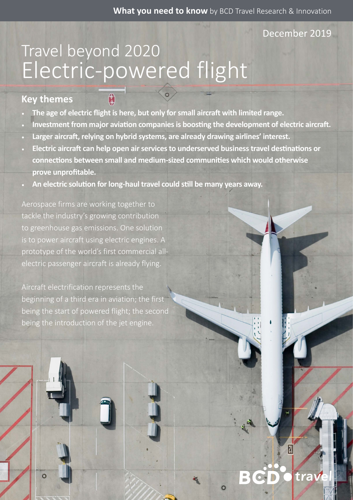#### December 2019

 $|\overline{l}|$ 

tray

# Electric-powered flight Travel beyond 2020

A

### **Key themes**

- **The age of electric flight is here, but only for small aircraft with limited range.**
- **Investment from major aviation companies is boosting the development of electric aircraft.**
- **Larger aircraft, relying on hybrid systems, are already drawing airlines' interest.**
- **Electric aircraft can help open air services to underserved business travel destinations or connections between small and medium-sized communities which would otherwise prove unprofitable.**
- **An electric solution for long-haul travel could still be many years away.**

Aerospace firms are working together to tackle the industry's growing contribution to greenhouse gas emissions. One solution is to power aircraft using electric engines. A prototype of the world's first commercial allelectric passenger aircraft is already flying.

Aircraft electrification represents the beginning of a third era in aviation; the first being the start of powered flight; the second being the introduction of the jet engine.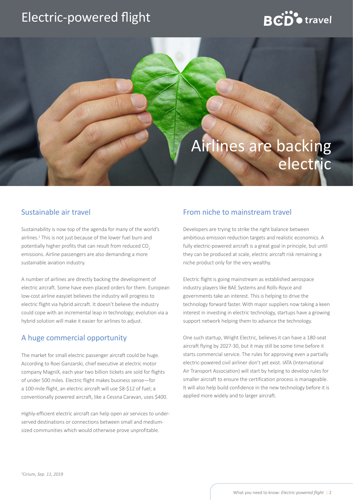### Electric-powered flight

# $RCD$  travel

### Airlines are backing electric

#### Sustainable air travel

Sustainability is now top of the agenda for many of the world's airlines.<sup>1</sup> This is not just because of the lower fuel burn and potentially higher profits that can result from reduced CO<sub>2</sub> emissions. Airline passengers are also demanding a more sustainable aviation industry.

A number of airlines are directly backing the development of electric aircraft. Some have even placed orders for them. European low-cost airline easyJet believes the industry will progress to electric flight via hybrid aircraft. It doesn't believe the industry could cope with an incremental leap in technology; evolution via a hybrid solution will make it easier for airlines to adjust.

#### A huge commercial opportunity

The market for small electric passenger aircraft could be huge. According to Roei Ganzarski, chief executive at electric motor company MagniX, each year two billion tickets are sold for flights of under 500 miles. Electric flight makes business sense—for a 100-mile flight, an electric aircraft will use \$8-\$12 of fuel; a conventionally powered aircraft, like a Cessna Caravan, uses \$400.

Highly-efficient electric aircraft can help open air services to underserved destinations or connections between small and mediumsized communities which would otherwise prove unprofitable.

#### From niche to mainstream travel

Developers are trying to strike the right balance between ambitious emission reduction targets and realistic economics. A fully electric-powered aircraft is a great goal in principle, but until they can be produced at scale, electric aircraft risk remaining a niche product only for the very wealthy.

Electric flight is going mainstream as established aerospace industry players like BAE Systems and Rolls-Royce and governments take an interest. This is helping to drive the technology forward faster. With major suppliers now taking a keen interest in investing in electric technology, startups have a growing support network helping them to advance the technology.

One such startup, Wright Electric, believes it can have a 180-seat aircraft flying by 2027-30, but it may still be some time before it starts commercial service. The rules for approving even a partially electric-powered civil airliner don't yet exist. IATA (International Air Transport Association) will start by helping to develop rules for smaller aircraft to ensure the certification process is manageable. It will also help build confidence in the new technology before it is applied more widely and to larger aircraft.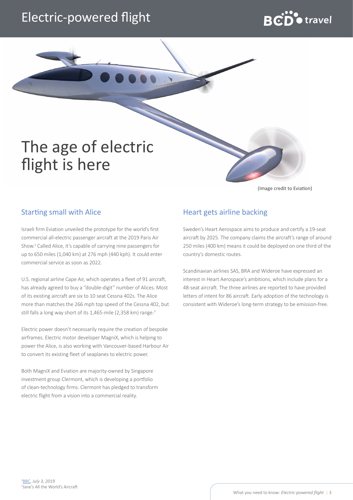### Electric-powered flight

# $BCD^{\bullet}$  travel

## The age of electric flight is here

(Image credit to Eviation)

#### Starting small with Alice

Israeli firm Eviation unveiled the prototype for the world's first commercial all-electric passenger aircraft at the 2019 Paris Air Show.2 Called Alice, it's capable of carrying nine passengers for up to 650 miles (1,040 km) at 276 mph (440 kph). It could enter commercial service as soon as 2022.

U.S. regional airline Cape Air, which operates a fleet of 91 aircraft, has already agreed to buy a "double-digit" number of Alices. Most of its existing aircraft are six to 10 seat Cessna 402s. The Alice more than matches the 266 mph top speed of the Cessna 402, but still falls a long way short of its 1,465-mile (2,358 km) range.<sup>3</sup>

Electric power doesn't necessarily require the creation of bespoke airframes. Electric motor developer MagniX, which is helping to power the Alice, is also working with Vancouver-based Harbour Air to convert its existing fleet of seaplanes to electric power.

Both MagniX and Eviation are majority-owned by Singapore investment group Clermont, which is developing a portfolio of clean-technology firms. Clermont has pledged to transform electric flight from a vision into a commercial reality.

#### Heart gets airline backing

Sweden's Heart Aerospace aims to produce and certify a 19-seat aircraft by 2025. The company claims the aircraft's range of around 250 miles (400 km) means it could be deployed on one third of the country's domestic routes.

Scandinavian airlines SAS, BRA and Wideroe have expressed an interest in Heart Aerospace's ambitions, which include plans for a 48-seat aircraft. The three airlines are reported to have provided letters of intent for 86 aircraft. Early adoption of the technology is consistent with Wideroe's long-term strategy to be emission-free.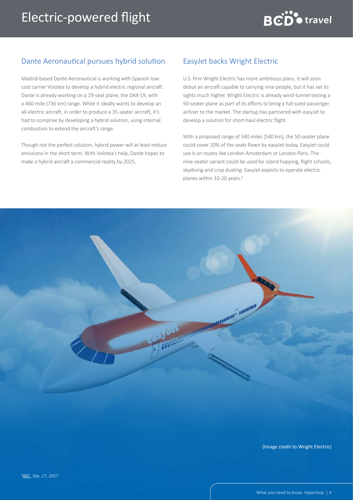

Madrid-based Dante Aeronautical is working with Spanish lowcost carrier Volotea to develop a hybrid electric regional aircraft. Dante is already working on a 19-seat plane, the DAX-19, with a 460-mile (736 km) range. While it ideally wants to develop an all-electric aircraft, in order to produce a 35-seater aircraft, it's had to comprise by developing a hybrid solution, using internal combustion to extend the aircraft's range.

Though not the perfect solution, hybrid power will at least reduce emissions in the short term. With Volotea's help, Dante hopes to make a hybrid aircraft a commercial reality by 2025.

#### EasyJet backs Wright Electric

U.S. firm Wright Electric has more ambitious plans. It will soon debut an aircraft capable to carrying nine people, but it has set its sights much higher. Wright Electric is already wind-tunnel testing a 50-seater plane as part of its efforts to bring a full-sized passenger airliner to the market. The startup has partnered with easyJet to develop a solution for short-haul electric flight.

With a proposed range of 340 miles (540 km), the 50-seater plane could cover 20% of the seats flown by easyJet today. EasyJet could use it on routes like London-Amsterdam or London-Paris. The nine-seater variant could be used for island hopping, flight schools, skydiving and crop dusting. EasyJet expects to operate electric planes within 10-20 years.4



(Image credit to Wright Electric)